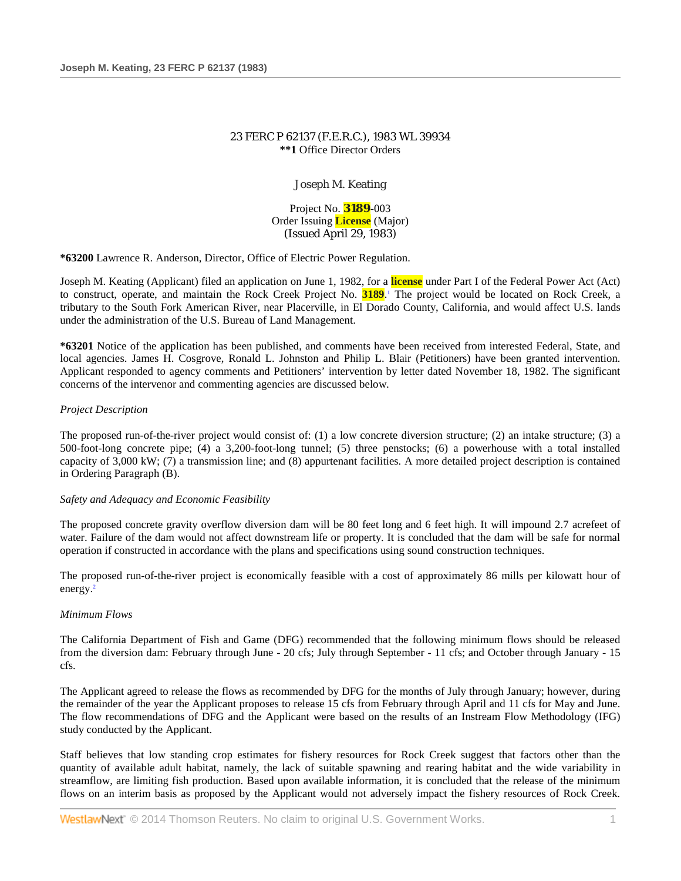# 23 FERC P 62137 (F.E.R.C.), 1983 WL 39934 **\*\*1** Office Director Orders

Joseph M. Keating

Project No. **3189**-003 Order Issuing **License** (Major) (Issued April 29, 1983)

**\*63200** Lawrence R. Anderson, Director, Office of Electric Power Regulation.

Joseph M. Keating (Applicant) filed an application on June 1, 1982, for a **license** under Part I of the Federal Power Act (Act) to construct, operate, and maintain the Rock Creek Project No. **3189**. <sup>1</sup> The project would be located on Rock Creek, a tributary to the South Fork American River, near Placerville, in El Dorado County, California, and would affect U.S. lands under the administration of the U.S. Bureau of Land Management.

**\*63201** Notice of the application has been published, and comments have been received from interested Federal, State, and local agencies. James H. Cosgrove, Ronald L. Johnston and Philip L. Blair (Petitioners) have been granted intervention. Applicant responded to agency comments and Petitioners' intervention by letter dated November 18, 1982. The significant concerns of the intervenor and commenting agencies are discussed below.

# *Project Description*

The proposed run-of-the-river project would consist of: (1) a low concrete diversion structure; (2) an intake structure; (3) a 500-foot-long concrete pipe; (4) a 3,200-foot-long tunnel; (5) three penstocks; (6) a powerhouse with a total installed capacity of 3,000 kW; (7) a transmission line; and (8) appurtenant facilities. A more detailed project description is contained in Ordering Paragraph (B).

## *Safety and Adequacy and Economic Feasibility*

The proposed concrete gravity overflow diversion dam will be 80 feet long and 6 feet high. It will impound 2.7 acrefeet of water. Failure of the dam would not affect downstream life or property. It is concluded that the dam will be safe for normal operation if constructed in accordance with the plans and specifications using sound construction techniques.

The proposed run-of-the-river project is economically feasible with a cost of approximately 86 mills per kilowatt hour of energy.<sup>2</sup>

## *Minimum Flows*

The California Department of Fish and Game (DFG) recommended that the following minimum flows should be released from the diversion dam: February through June - 20 cfs; July through September - 11 cfs; and October through January - 15 cfs.

The Applicant agreed to release the flows as recommended by DFG for the months of July through January; however, during the remainder of the year the Applicant proposes to release 15 cfs from February through April and 11 cfs for May and June. The flow recommendations of DFG and the Applicant were based on the results of an Instream Flow Methodology (IFG) study conducted by the Applicant.

Staff believes that low standing crop estimates for fishery resources for Rock Creek suggest that factors other than the quantity of available adult habitat, namely, the lack of suitable spawning and rearing habitat and the wide variability in streamflow, are limiting fish production. Based upon available information, it is concluded that the release of the minimum flows on an interim basis as proposed by the Applicant would not adversely impact the fishery resources of Rock Creek.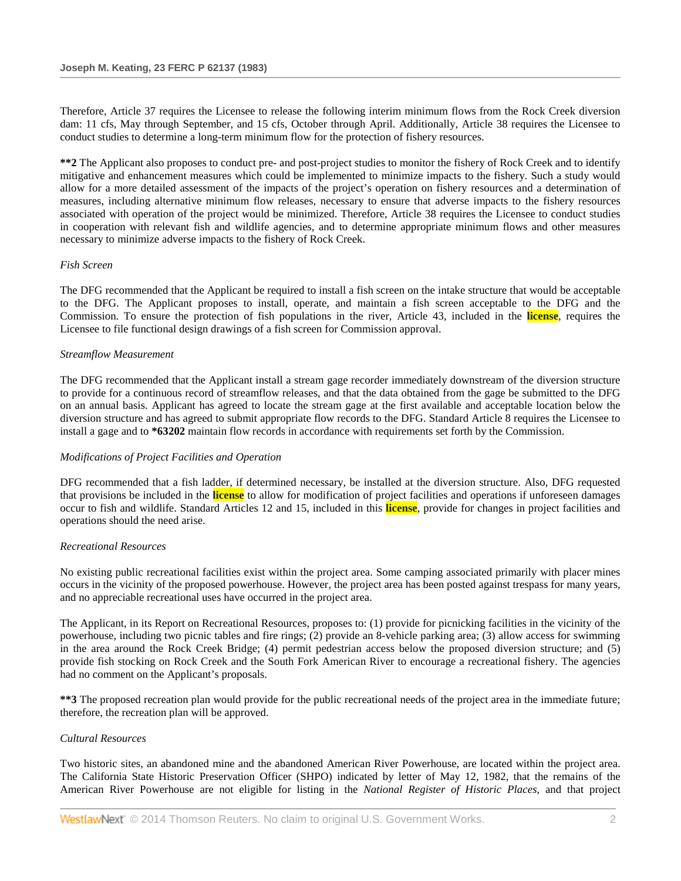Therefore, Article 37 requires the Licensee to release the following interim minimum flows from the Rock Creek diversion dam: 11 cfs, May through September, and 15 cfs, October through April. Additionally, Article 38 requires the Licensee to conduct studies to determine a long-term minimum flow for the protection of fishery resources.

**\*\*2** The Applicant also proposes to conduct pre- and post-project studies to monitor the fishery of Rock Creek and to identify mitigative and enhancement measures which could be implemented to minimize impacts to the fishery. Such a study would allow for a more detailed assessment of the impacts of the project's operation on fishery resources and a determination of measures, including alternative minimum flow releases, necessary to ensure that adverse impacts to the fishery resources associated with operation of the project would be minimized. Therefore, Article 38 requires the Licensee to conduct studies in cooperation with relevant fish and wildlife agencies, and to determine appropriate minimum flows and other measures necessary to minimize adverse impacts to the fishery of Rock Creek.

# *Fish Screen*

The DFG recommended that the Applicant be required to install a fish screen on the intake structure that would be acceptable to the DFG. The Applicant proposes to install, operate, and maintain a fish screen acceptable to the DFG and the Commission. To ensure the protection of fish populations in the river, Article 43, included in the **license**, requires the Licensee to file functional design drawings of a fish screen for Commission approval.

# *Streamflow Measurement*

The DFG recommended that the Applicant install a stream gage recorder immediately downstream of the diversion structure to provide for a continuous record of streamflow releases, and that the data obtained from the gage be submitted to the DFG on an annual basis. Applicant has agreed to locate the stream gage at the first available and acceptable location below the diversion structure and has agreed to submit appropriate flow records to the DFG. Standard Article 8 requires the Licensee to install a gage and to **\*63202** maintain flow records in accordance with requirements set forth by the Commission.

# *Modifications of Project Facilities and Operation*

DFG recommended that a fish ladder, if determined necessary, be installed at the diversion structure. Also, DFG requested that provisions be included in the **license** to allow for modification of project facilities and operations if unforeseen damages occur to fish and wildlife. Standard Articles 12 and 15, included in this **license**, provide for changes in project facilities and operations should the need arise.

# *Recreational Resources*

No existing public recreational facilities exist within the project area. Some camping associated primarily with placer mines occurs in the vicinity of the proposed powerhouse. However, the project area has been posted against trespass for many years, and no appreciable recreational uses have occurred in the project area.

The Applicant, in its Report on Recreational Resources, proposes to: (1) provide for picnicking facilities in the vicinity of the powerhouse, including two picnic tables and fire rings; (2) provide an 8-vehicle parking area; (3) allow access for swimming in the area around the Rock Creek Bridge; (4) permit pedestrian access below the proposed diversion structure; and (5) provide fish stocking on Rock Creek and the South Fork American River to encourage a recreational fishery. The agencies had no comment on the Applicant's proposals.

**\*\*3** The proposed recreation plan would provide for the public recreational needs of the project area in the immediate future; therefore, the recreation plan will be approved.

# *Cultural Resources*

Two historic sites, an abandoned mine and the abandoned American River Powerhouse, are located within the project area. The California State Historic Preservation Officer (SHPO) indicated by letter of May 12, 1982, that the remains of the American River Powerhouse are not eligible for listing in the *National Register of Historic Places*, and that project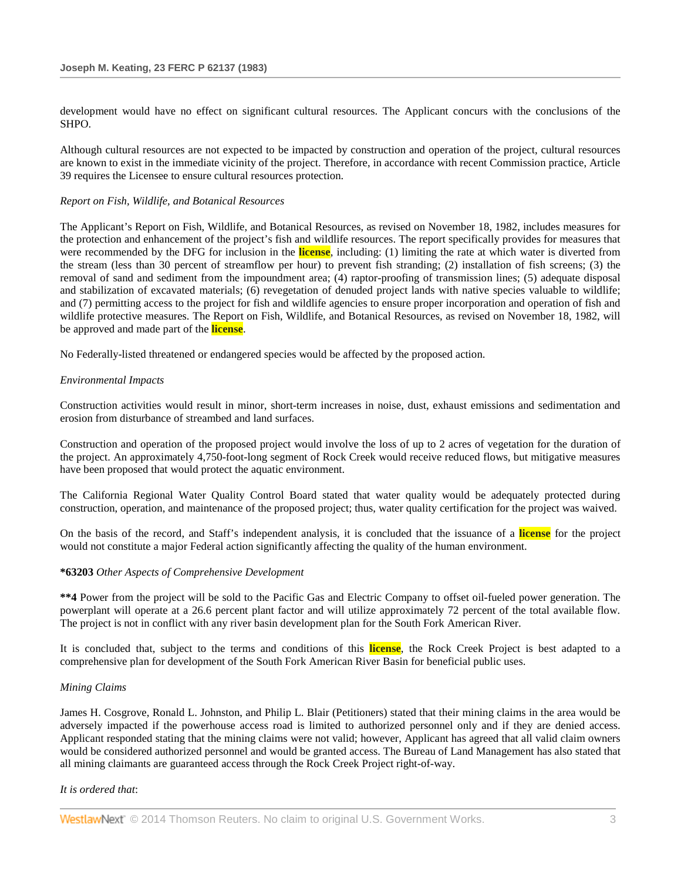development would have no effect on significant cultural resources. The Applicant concurs with the conclusions of the SHPO.

Although cultural resources are not expected to be impacted by construction and operation of the project, cultural resources are known to exist in the immediate vicinity of the project. Therefore, in accordance with recent Commission practice, Article 39 requires the Licensee to ensure cultural resources protection.

## *Report on Fish, Wildlife, and Botanical Resources*

The Applicant's Report on Fish, Wildlife, and Botanical Resources, as revised on November 18, 1982, includes measures for the protection and enhancement of the project's fish and wildlife resources. The report specifically provides for measures that were recommended by the DFG for inclusion in the **license**, including: (1) limiting the rate at which water is diverted from the stream (less than 30 percent of streamflow per hour) to prevent fish stranding; (2) installation of fish screens; (3) the removal of sand and sediment from the impoundment area; (4) raptor-proofing of transmission lines; (5) adequate disposal and stabilization of excavated materials; (6) revegetation of denuded project lands with native species valuable to wildlife; and (7) permitting access to the project for fish and wildlife agencies to ensure proper incorporation and operation of fish and wildlife protective measures. The Report on Fish, Wildlife, and Botanical Resources, as revised on November 18, 1982, will be approved and made part of the **license**.

No Federally-listed threatened or endangered species would be affected by the proposed action.

# *Environmental Impacts*

Construction activities would result in minor, short-term increases in noise, dust, exhaust emissions and sedimentation and erosion from disturbance of streambed and land surfaces.

Construction and operation of the proposed project would involve the loss of up to 2 acres of vegetation for the duration of the project. An approximately 4,750-foot-long segment of Rock Creek would receive reduced flows, but mitigative measures have been proposed that would protect the aquatic environment.

The California Regional Water Quality Control Board stated that water quality would be adequately protected during construction, operation, and maintenance of the proposed project; thus, water quality certification for the project was waived.

On the basis of the record, and Staff's independent analysis, it is concluded that the issuance of a **license** for the project would not constitute a major Federal action significantly affecting the quality of the human environment.

## **\*63203** *Other Aspects of Comprehensive Development*

**\*\*4** Power from the project will be sold to the Pacific Gas and Electric Company to offset oil-fueled power generation. The powerplant will operate at a 26.6 percent plant factor and will utilize approximately 72 percent of the total available flow. The project is not in conflict with any river basin development plan for the South Fork American River.

It is concluded that, subject to the terms and conditions of this **license**, the Rock Creek Project is best adapted to a comprehensive plan for development of the South Fork American River Basin for beneficial public uses.

## *Mining Claims*

James H. Cosgrove, Ronald L. Johnston, and Philip L. Blair (Petitioners) stated that their mining claims in the area would be adversely impacted if the powerhouse access road is limited to authorized personnel only and if they are denied access. Applicant responded stating that the mining claims were not valid; however, Applicant has agreed that all valid claim owners would be considered authorized personnel and would be granted access. The Bureau of Land Management has also stated that all mining claimants are guaranteed access through the Rock Creek Project right-of-way.

## *It is ordered that*: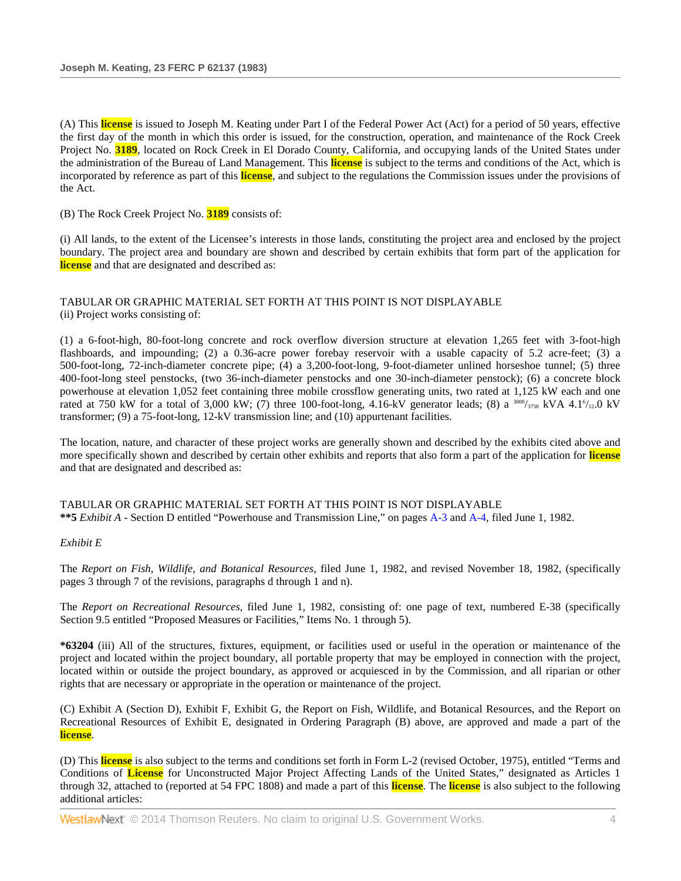(A) This **license** is issued to Joseph M. Keating under Part I of the Federal Power Act (Act) for a period of 50 years, effective the first day of the month in which this order is issued, for the construction, operation, and maintenance of the Rock Creek Project No. **3189**, located on Rock Creek in El Dorado County, California, and occupying lands of the United States under the administration of the Bureau of Land Management. This **license** is subject to the terms and conditions of the Act, which is incorporated by reference as part of this **license**, and subject to the regulations the Commission issues under the provisions of the Act.

(B) The Rock Creek Project No. **3189** consists of:

(i) All lands, to the extent of the Licensee's interests in those lands, constituting the project area and enclosed by the project boundary. The project area and boundary are shown and described by certain exhibits that form part of the application for **license** and that are designated and described as:

TABULAR OR GRAPHIC MATERIAL SET FORTH AT THIS POINT IS NOT DISPLAYABLE (ii) Project works consisting of:

(1) a 6-foot-high, 80-foot-long concrete and rock overflow diversion structure at elevation 1,265 feet with 3-foot-high flashboards, and impounding; (2) a 0.36-acre power forebay reservoir with a usable capacity of 5.2 acre-feet; (3) a 500-foot-long, 72-inch-diameter concrete pipe; (4) a 3,200-foot-long, 9-foot-diameter unlined horseshoe tunnel; (5) three 400-foot-long steel penstocks, (two 36-inch-diameter penstocks and one 30-inch-diameter penstock); (6) a concrete block powerhouse at elevation 1,052 feet containing three mobile crossflow generating units, two rated at 1,125 kW each and one rated at 750 kW for a total of 3,000 kW; (7) three 100-foot-long, 4.16-kV generator leads; (8) a  $3000/_{3750}$  kVA 4.1 $\frac{6}{12.0}$  kV transformer; (9) a 75-foot-long, 12-kV transmission line; and (10) appurtenant facilities.

The location, nature, and character of these project works are generally shown and described by the exhibits cited above and more specifically shown and described by certain other exhibits and reports that also form a part of the application for **license** and that are designated and described as:

TABULAR OR GRAPHIC MATERIAL SET FORTH AT THIS POINT IS NOT DISPLAYABLE **\*\*5** *Exhibit A* - Section D entitled "Powerhouse and Transmission Line," on page[s A-3](http://www.westlaw.com/Link/Document/FullText?findType=Y&pubNum=0005304&cite=CGOA3&originationContext=document&vr=3.0&rs=cblt1.0&transitionType=DocumentItem&contextData=(sc.Search)) an[d A-4,](http://www.westlaw.com/Link/Document/FullText?findType=Y&pubNum=0005304&cite=CGOA4&originationContext=document&vr=3.0&rs=cblt1.0&transitionType=DocumentItem&contextData=(sc.Search)) filed June 1, 1982.

## *Exhibit E*

The *Report on Fish, Wildlife, and Botanical Resources*, filed June 1, 1982, and revised November 18, 1982, (specifically pages 3 through 7 of the revisions, paragraphs d through 1 and n).

The *Report on Recreational Resources*, filed June 1, 1982, consisting of: one page of text, numbered E-38 (specifically Section 9.5 entitled "Proposed Measures or Facilities," Items No. 1 through 5).

**\*63204** (iii) All of the structures, fixtures, equipment, or facilities used or useful in the operation or maintenance of the project and located within the project boundary, all portable property that may be employed in connection with the project, located within or outside the project boundary, as approved or acquiesced in by the Commission, and all riparian or other rights that are necessary or appropriate in the operation or maintenance of the project.

(C) Exhibit A (Section D), Exhibit F, Exhibit G, the Report on Fish, Wildlife, and Botanical Resources, and the Report on Recreational Resources of Exhibit E, designated in Ordering Paragraph (B) above, are approved and made a part of the **license**.

(D) This **license** is also subject to the terms and conditions set forth in Form L-2 (revised October, 1975), entitled "Terms and Conditions of **License** for Unconstructed Major Project Affecting Lands of the United States," designated as Articles 1 through 32, attached to (reported at 54 FPC 1808) and made a part of this **license**. The **license** is also subject to the following additional articles: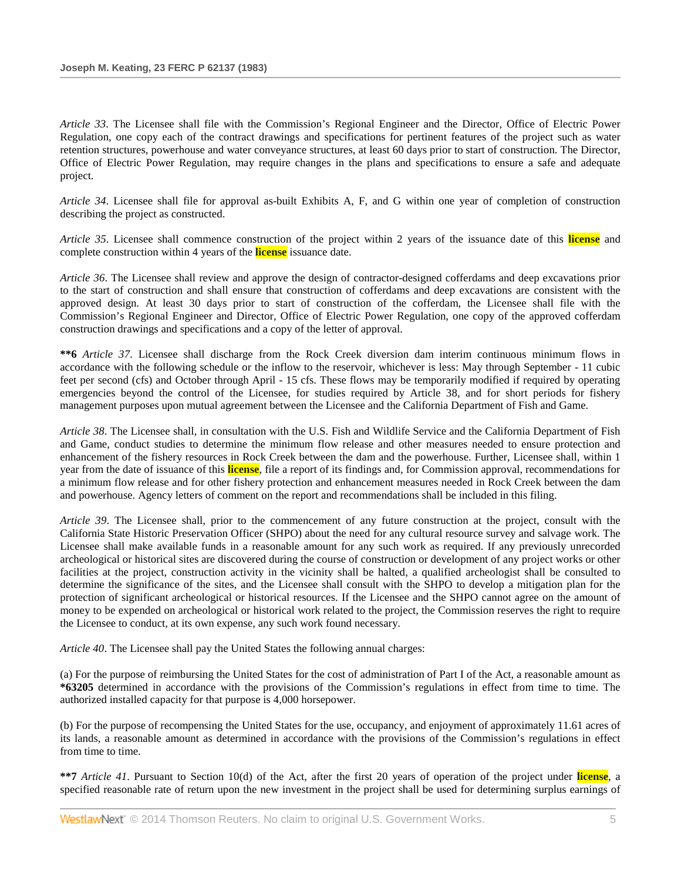*Article 33*. The Licensee shall file with the Commission's Regional Engineer and the Director, Office of Electric Power Regulation, one copy each of the contract drawings and specifications for pertinent features of the project such as water retention structures, powerhouse and water conveyance structures, at least 60 days prior to start of construction. The Director, Office of Electric Power Regulation, may require changes in the plans and specifications to ensure a safe and adequate project.

*Article 34*. Licensee shall file for approval as-built Exhibits A, F, and G within one year of completion of construction describing the project as constructed.

*Article 35*. Licensee shall commence construction of the project within 2 years of the issuance date of this **license** and complete construction within 4 years of the **license** issuance date.

*Article 36*. The Licensee shall review and approve the design of contractor-designed cofferdams and deep excavations prior to the start of construction and shall ensure that construction of cofferdams and deep excavations are consistent with the approved design. At least 30 days prior to start of construction of the cofferdam, the Licensee shall file with the Commission's Regional Engineer and Director, Office of Electric Power Regulation, one copy of the approved cofferdam construction drawings and specifications and a copy of the letter of approval.

**\*\*6** *Article 37*. Licensee shall discharge from the Rock Creek diversion dam interim continuous minimum flows in accordance with the following schedule or the inflow to the reservoir, whichever is less: May through September - 11 cubic feet per second (cfs) and October through April - 15 cfs. These flows may be temporarily modified if required by operating emergencies beyond the control of the Licensee, for studies required by Article 38, and for short periods for fishery management purposes upon mutual agreement between the Licensee and the California Department of Fish and Game.

*Article 38*. The Licensee shall, in consultation with the U.S. Fish and Wildlife Service and the California Department of Fish and Game, conduct studies to determine the minimum flow release and other measures needed to ensure protection and enhancement of the fishery resources in Rock Creek between the dam and the powerhouse. Further, Licensee shall, within 1 year from the date of issuance of this **license**, file a report of its findings and, for Commission approval, recommendations for a minimum flow release and for other fishery protection and enhancement measures needed in Rock Creek between the dam and powerhouse. Agency letters of comment on the report and recommendations shall be included in this filing.

*Article 39*. The Licensee shall, prior to the commencement of any future construction at the project, consult with the California State Historic Preservation Officer (SHPO) about the need for any cultural resource survey and salvage work. The Licensee shall make available funds in a reasonable amount for any such work as required. If any previously unrecorded archeological or historical sites are discovered during the course of construction or development of any project works or other facilities at the project, construction activity in the vicinity shall be halted, a qualified archeologist shall be consulted to determine the significance of the sites, and the Licensee shall consult with the SHPO to develop a mitigation plan for the protection of significant archeological or historical resources. If the Licensee and the SHPO cannot agree on the amount of money to be expended on archeological or historical work related to the project, the Commission reserves the right to require the Licensee to conduct, at its own expense, any such work found necessary.

*Article 40*. The Licensee shall pay the United States the following annual charges:

(a) For the purpose of reimbursing the United States for the cost of administration of Part I of the Act, a reasonable amount as **\*63205** determined in accordance with the provisions of the Commission's regulations in effect from time to time. The authorized installed capacity for that purpose is 4,000 horsepower.

(b) For the purpose of recompensing the United States for the use, occupancy, and enjoyment of approximately 11.61 acres of its lands, a reasonable amount as determined in accordance with the provisions of the Commission's regulations in effect from time to time.

**\*\*7** *Article 41*. Pursuant to Section 10(d) of the Act, after the first 20 years of operation of the project under **license**, a specified reasonable rate of return upon the new investment in the project shall be used for determining surplus earnings of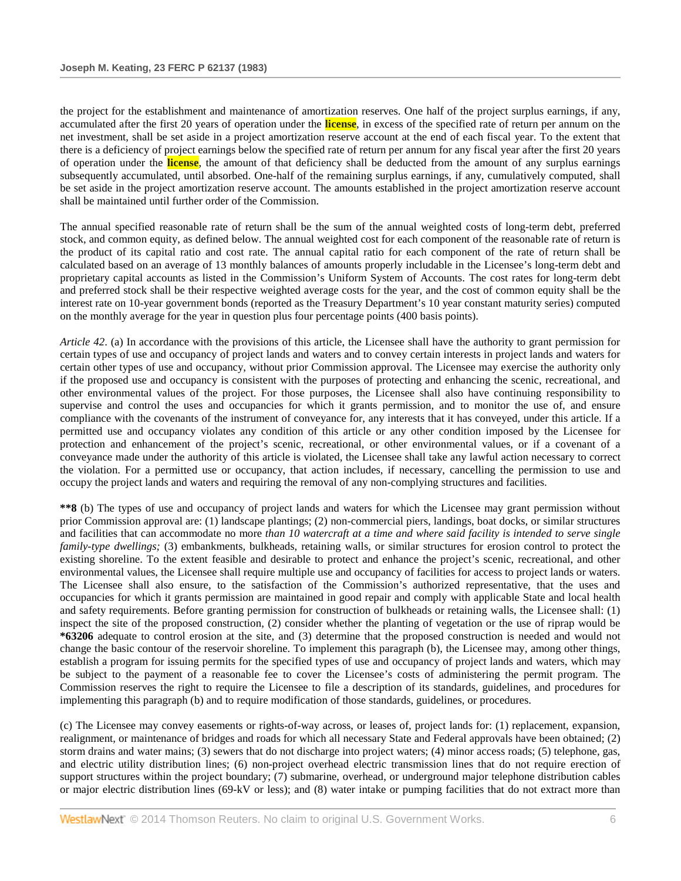the project for the establishment and maintenance of amortization reserves. One half of the project surplus earnings, if any, accumulated after the first 20 years of operation under the **license**, in excess of the specified rate of return per annum on the net investment, shall be set aside in a project amortization reserve account at the end of each fiscal year. To the extent that there is a deficiency of project earnings below the specified rate of return per annum for any fiscal year after the first 20 years of operation under the **license**, the amount of that deficiency shall be deducted from the amount of any surplus earnings subsequently accumulated, until absorbed. One-half of the remaining surplus earnings, if any, cumulatively computed, shall be set aside in the project amortization reserve account. The amounts established in the project amortization reserve account shall be maintained until further order of the Commission.

The annual specified reasonable rate of return shall be the sum of the annual weighted costs of long-term debt, preferred stock, and common equity, as defined below. The annual weighted cost for each component of the reasonable rate of return is the product of its capital ratio and cost rate. The annual capital ratio for each component of the rate of return shall be calculated based on an average of 13 monthly balances of amounts properly includable in the Licensee's long-term debt and proprietary capital accounts as listed in the Commission's Uniform System of Accounts. The cost rates for long-term debt and preferred stock shall be their respective weighted average costs for the year, and the cost of common equity shall be the interest rate on 10-year government bonds (reported as the Treasury Department's 10 year constant maturity series) computed on the monthly average for the year in question plus four percentage points (400 basis points).

*Article 42*. (a) In accordance with the provisions of this article, the Licensee shall have the authority to grant permission for certain types of use and occupancy of project lands and waters and to convey certain interests in project lands and waters for certain other types of use and occupancy, without prior Commission approval. The Licensee may exercise the authority only if the proposed use and occupancy is consistent with the purposes of protecting and enhancing the scenic, recreational, and other environmental values of the project. For those purposes, the Licensee shall also have continuing responsibility to supervise and control the uses and occupancies for which it grants permission, and to monitor the use of, and ensure compliance with the covenants of the instrument of conveyance for, any interests that it has conveyed, under this article. If a permitted use and occupancy violates any condition of this article or any other condition imposed by the Licensee for protection and enhancement of the project's scenic, recreational, or other environmental values, or if a covenant of a conveyance made under the authority of this article is violated, the Licensee shall take any lawful action necessary to correct the violation. For a permitted use or occupancy, that action includes, if necessary, cancelling the permission to use and occupy the project lands and waters and requiring the removal of any non-complying structures and facilities.

**\*\*8** (b) The types of use and occupancy of project lands and waters for which the Licensee may grant permission without prior Commission approval are: (1) landscape plantings; (2) non-commercial piers, landings, boat docks, or similar structures and facilities that can accommodate no more *than 10 watercraft at a time and where said facility is intended to serve single family-type dwellings;* (3) embankments, bulkheads, retaining walls, or similar structures for erosion control to protect the existing shoreline. To the extent feasible and desirable to protect and enhance the project's scenic, recreational, and other environmental values, the Licensee shall require multiple use and occupancy of facilities for access to project lands or waters. The Licensee shall also ensure, to the satisfaction of the Commission's authorized representative, that the uses and occupancies for which it grants permission are maintained in good repair and comply with applicable State and local health and safety requirements. Before granting permission for construction of bulkheads or retaining walls, the Licensee shall: (1) inspect the site of the proposed construction, (2) consider whether the planting of vegetation or the use of riprap would be **\*63206** adequate to control erosion at the site, and (3) determine that the proposed construction is needed and would not change the basic contour of the reservoir shoreline. To implement this paragraph (b), the Licensee may, among other things, establish a program for issuing permits for the specified types of use and occupancy of project lands and waters, which may be subject to the payment of a reasonable fee to cover the Licensee's costs of administering the permit program. The Commission reserves the right to require the Licensee to file a description of its standards, guidelines, and procedures for implementing this paragraph (b) and to require modification of those standards, guidelines, or procedures.

(c) The Licensee may convey easements or rights-of-way across, or leases of, project lands for: (1) replacement, expansion, realignment, or maintenance of bridges and roads for which all necessary State and Federal approvals have been obtained; (2) storm drains and water mains; (3) sewers that do not discharge into project waters; (4) minor access roads; (5) telephone, gas, and electric utility distribution lines; (6) non-project overhead electric transmission lines that do not require erection of support structures within the project boundary; (7) submarine, overhead, or underground major telephone distribution cables or major electric distribution lines (69-kV or less); and (8) water intake or pumping facilities that do not extract more than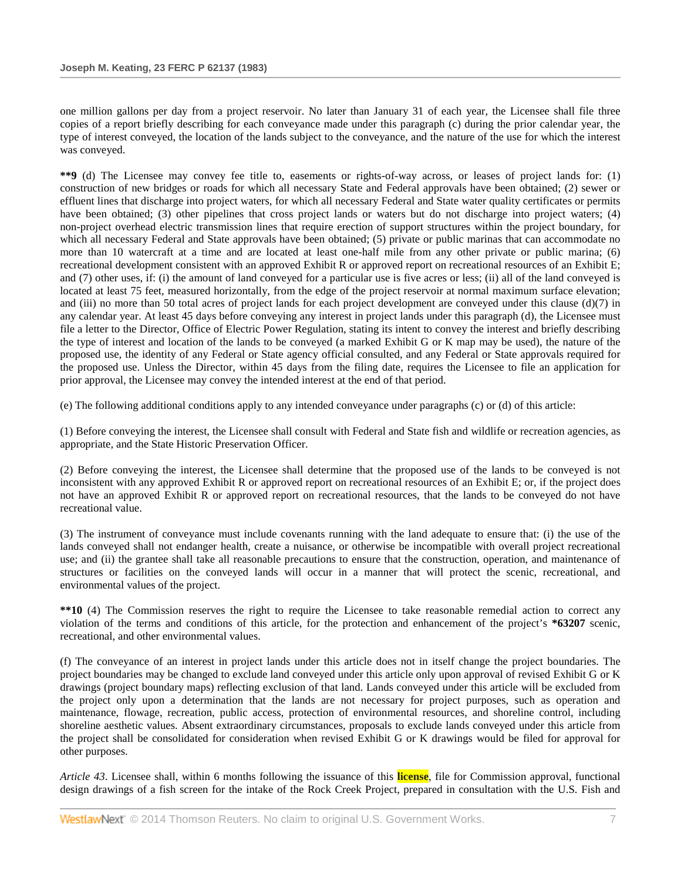one million gallons per day from a project reservoir. No later than January 31 of each year, the Licensee shall file three copies of a report briefly describing for each conveyance made under this paragraph (c) during the prior calendar year, the type of interest conveyed, the location of the lands subject to the conveyance, and the nature of the use for which the interest was conveyed.

**\*\*9** (d) The Licensee may convey fee title to, easements or rights-of-way across, or leases of project lands for: (1) construction of new bridges or roads for which all necessary State and Federal approvals have been obtained; (2) sewer or effluent lines that discharge into project waters, for which all necessary Federal and State water quality certificates or permits have been obtained; (3) other pipelines that cross project lands or waters but do not discharge into project waters; (4) non-project overhead electric transmission lines that require erection of support structures within the project boundary, for which all necessary Federal and State approvals have been obtained; (5) private or public marinas that can accommodate no more than 10 watercraft at a time and are located at least one-half mile from any other private or public marina; (6) recreational development consistent with an approved Exhibit R or approved report on recreational resources of an Exhibit E; and (7) other uses, if: (i) the amount of land conveyed for a particular use is five acres or less; (ii) all of the land conveyed is located at least 75 feet, measured horizontally, from the edge of the project reservoir at normal maximum surface elevation; and (iii) no more than 50 total acres of project lands for each project development are conveyed under this clause  $(d)(7)$  in any calendar year. At least 45 days before conveying any interest in project lands under this paragraph (d), the Licensee must file a letter to the Director, Office of Electric Power Regulation, stating its intent to convey the interest and briefly describing the type of interest and location of the lands to be conveyed (a marked Exhibit G or K map may be used), the nature of the proposed use, the identity of any Federal or State agency official consulted, and any Federal or State approvals required for the proposed use. Unless the Director, within 45 days from the filing date, requires the Licensee to file an application for prior approval, the Licensee may convey the intended interest at the end of that period.

(e) The following additional conditions apply to any intended conveyance under paragraphs (c) or (d) of this article:

(1) Before conveying the interest, the Licensee shall consult with Federal and State fish and wildlife or recreation agencies, as appropriate, and the State Historic Preservation Officer.

(2) Before conveying the interest, the Licensee shall determine that the proposed use of the lands to be conveyed is not inconsistent with any approved Exhibit R or approved report on recreational resources of an Exhibit E; or, if the project does not have an approved Exhibit R or approved report on recreational resources, that the lands to be conveyed do not have recreational value.

(3) The instrument of conveyance must include covenants running with the land adequate to ensure that: (i) the use of the lands conveyed shall not endanger health, create a nuisance, or otherwise be incompatible with overall project recreational use; and (ii) the grantee shall take all reasonable precautions to ensure that the construction, operation, and maintenance of structures or facilities on the conveyed lands will occur in a manner that will protect the scenic, recreational, and environmental values of the project.

**\*\*10** (4) The Commission reserves the right to require the Licensee to take reasonable remedial action to correct any violation of the terms and conditions of this article, for the protection and enhancement of the project's **\*63207** scenic, recreational, and other environmental values.

(f) The conveyance of an interest in project lands under this article does not in itself change the project boundaries. The project boundaries may be changed to exclude land conveyed under this article only upon approval of revised Exhibit G or K drawings (project boundary maps) reflecting exclusion of that land. Lands conveyed under this article will be excluded from the project only upon a determination that the lands are not necessary for project purposes, such as operation and maintenance, flowage, recreation, public access, protection of environmental resources, and shoreline control, including shoreline aesthetic values. Absent extraordinary circumstances, proposals to exclude lands conveyed under this article from the project shall be consolidated for consideration when revised Exhibit G or K drawings would be filed for approval for other purposes.

*Article 43*. Licensee shall, within 6 months following the issuance of this **license**, file for Commission approval, functional design drawings of a fish screen for the intake of the Rock Creek Project, prepared in consultation with the U.S. Fish and